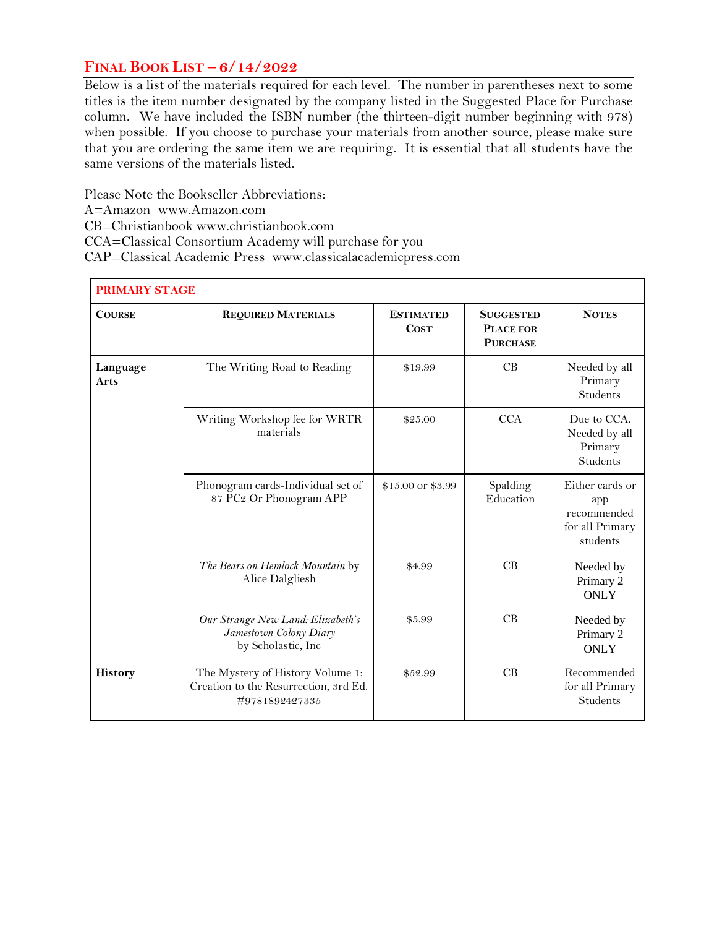## **FINAL BOOK LIST – 6/14/2022**

Below is a list of the materials required for each level. The number in parentheses next to some titles is the item number designated by the company listed in the Suggested Place for Purchase column. We have included the ISBN number (the thirteen-digit number beginning with 978) when possible. If you choose to purchase your materials from another source, please make sure that you are ordering the same item we are requiring. It is essential that all students have the same versions of the materials listed.

Please Note the Bookseller Abbreviations: A=Amazon www.Amazon.com CB=Christianbook www.christianbook.com CCA=Classical Consortium Academy will purchase for you CAP=Classical Academic Press www.classicalacademicpress.com

|                         | <b>PRIMARY STAGE</b>                                                                        |                                 |                                                         |                                                                      |  |
|-------------------------|---------------------------------------------------------------------------------------------|---------------------------------|---------------------------------------------------------|----------------------------------------------------------------------|--|
| <b>COURSE</b>           | <b>REQUIRED MATERIALS</b>                                                                   | <b>ESTIMATED</b><br><b>COST</b> | <b>SUGGESTED</b><br><b>PLACE FOR</b><br><b>PURCHASE</b> | <b>NOTES</b>                                                         |  |
| Language<br><b>Arts</b> | The Writing Road to Reading                                                                 | \$19.99                         | CB                                                      | Needed by all<br>Primary<br><b>Students</b>                          |  |
|                         | Writing Workshop fee for WRTR<br>materials                                                  | \$25.00                         | <b>CCA</b>                                              | Due to CCA.<br>Needed by all<br>Primary<br><b>Students</b>           |  |
|                         | Phonogram cards-Individual set of<br>87 PC2 Or Phonogram APP                                | \$15.00 or \$3.99               | Spalding<br>Education                                   | Either cards or<br>app<br>recommended<br>for all Primary<br>students |  |
|                         | The Bears on Hemlock Mountain by<br>Alice Dalgliesh                                         | \$4.99                          | CB                                                      | Needed by<br>Primary 2<br><b>ONLY</b>                                |  |
|                         | Our Strange New Land: Elizabeth's<br>Jamestown Colony Diary<br>by Scholastic, Inc           | \$5.99                          | CB                                                      | Needed by<br>Primary 2<br><b>ONLY</b>                                |  |
| History                 | The Mystery of History Volume 1:<br>Creation to the Resurrection, 3rd Ed.<br>#9781892427335 | \$52.99                         | CB                                                      | Recommended<br>for all Primary<br>Students                           |  |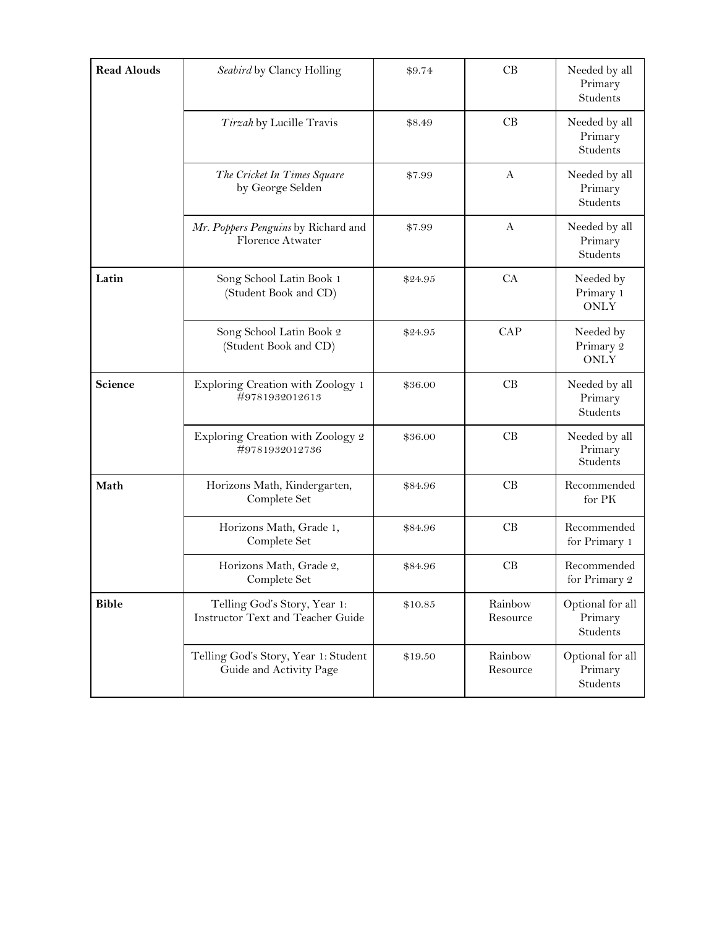| <b>Read Alouds</b> | Seabird by Clancy Holling                                                | \$9.74  | CB                  | Needed by all<br>Primary<br>Students    |
|--------------------|--------------------------------------------------------------------------|---------|---------------------|-----------------------------------------|
|                    | Tirzah by Lucille Travis                                                 | \$8.49  | CB                  | Needed by all<br>Primary<br>Students    |
|                    | The Cricket In Times Square<br>by George Selden                          | \$7.99  | A                   | Needed by all<br>Primary<br>Students    |
|                    | Mr. Poppers Penguins by Richard and<br>Florence Atwater                  | \$7.99  | A                   | Needed by all<br>Primary<br>Students    |
| Latin              | Song School Latin Book 1<br>(Student Book and CD)                        | \$24.95 | CA                  | Needed by<br>Primary 1<br><b>ONLY</b>   |
|                    | Song School Latin Book 2<br>(Student Book and CD)                        | \$24.95 | CAP                 | Needed by<br>Primary 2<br><b>ONLY</b>   |
| Science            | Exploring Creation with Zoology 1<br>#9781932012613                      | \$36.00 | CB                  | Needed by all<br>Primary<br>Students    |
|                    | Exploring Creation with Zoology 2<br>#9781932012736                      | \$36.00 | CB                  | Needed by all<br>Primary<br>Students    |
| Math               | Horizons Math, Kindergarten,<br>Complete Set                             | \$84.96 | CB                  | Recommended<br>for PK                   |
|                    | Horizons Math, Grade 1,<br>Complete Set                                  | \$84.96 | CB                  | Recommended<br>for Primary 1            |
|                    | Horizons Math, Grade 2,<br>Complete Set                                  | \$84.96 | CB                  | Recommended<br>for Primary $\it 2$      |
| <b>Bible</b>       | Telling God's Story, Year 1:<br><b>Instructor Text and Teacher Guide</b> | \$10.85 | Rainbow<br>Resource | Optional for all<br>Primary<br>Students |
|                    | Telling God's Story, Year 1: Student<br>Guide and Activity Page          | \$19.50 | Rainbow<br>Resource | Optional for all<br>Primary<br>Students |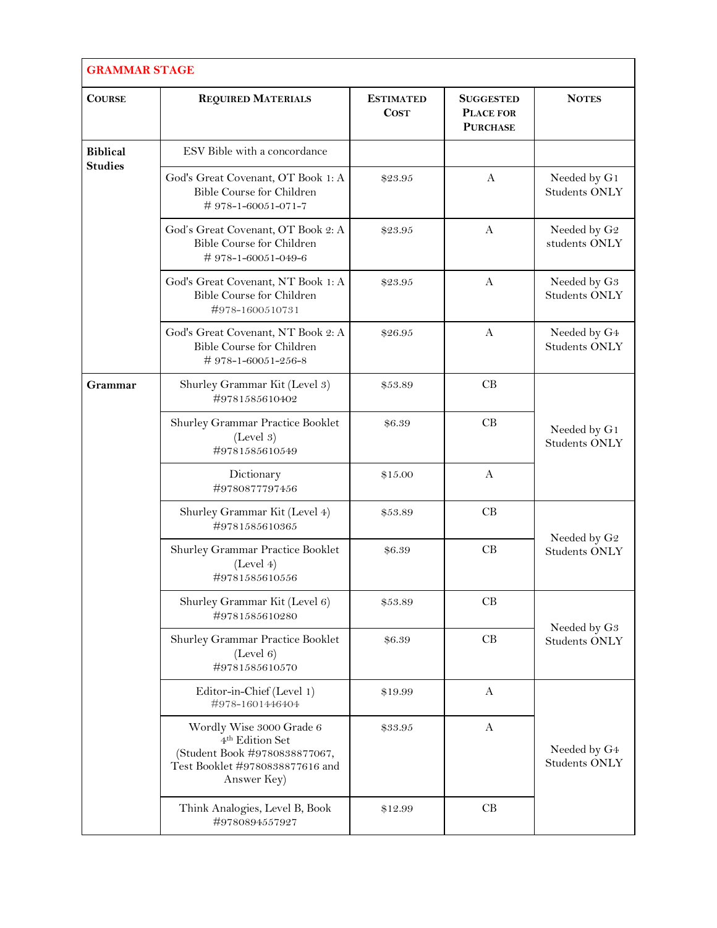| <b>GRAMMAR STAGE</b> |                                                                                                                                            |                                 |                                                         |                                                  |
|----------------------|--------------------------------------------------------------------------------------------------------------------------------------------|---------------------------------|---------------------------------------------------------|--------------------------------------------------|
| <b>COURSE</b>        | <b>REQUIRED MATERIALS</b>                                                                                                                  | <b>ESTIMATED</b><br><b>COST</b> | <b>SUGGESTED</b><br><b>PLACE FOR</b><br><b>PURCHASE</b> | <b>NOTES</b>                                     |
| <b>Biblical</b>      | ESV Bible with a concordance                                                                                                               |                                 |                                                         |                                                  |
| <b>Studies</b>       | God's Great Covenant, OT Book 1: A<br>Bible Course for Children<br>#978-1-60051-071-7                                                      | \$23.95                         | A                                                       | Needed by G1<br><b>Students ONLY</b>             |
|                      | God's Great Covenant, OT Book 2: A<br><b>Bible Course for Children</b><br>#978-1-60051-049-6                                               | \$23.95                         | A                                                       | Needed by G <sub>2</sub><br>students ONLY        |
|                      | God's Great Covenant, NT Book 1: A<br>Bible Course for Children<br>#978-1600510731                                                         | \$23.95                         | A                                                       | Needed by G <sub>3</sub><br><b>Students ONLY</b> |
|                      | God's Great Covenant, NT Book 2: A<br>Bible Course for Children<br>#978-1-60051-256-8                                                      | \$26.95                         | $\mathbf{A}$                                            | Needed by G4<br><b>Students ONLY</b>             |
| Grammar              | Shurley Grammar Kit (Level 3)<br>#9781585610402                                                                                            | \$53.89                         | CB                                                      | Needed by G1<br><b>Students ONLY</b>             |
|                      | Shurley Grammar Practice Booklet<br>(Level 3)<br>#9781585610549                                                                            | \$6.39                          | CB                                                      |                                                  |
|                      | Dictionary<br>#9780877797456                                                                                                               | \$15.00                         | $\mathbf{A}$                                            |                                                  |
|                      | Shurley Grammar Kit (Level 4)<br>#9781585610365                                                                                            | \$53.89                         | CB                                                      |                                                  |
|                      | Shurley Grammar Practice Booklet<br>(Level 4)<br>#9781585610556                                                                            | \$6.39                          | CB                                                      | Needed by G <sub>2</sub><br><b>Students ONLY</b> |
|                      | Shurley Grammar Kit (Level 6)<br>#9781585610280                                                                                            | \$53.89                         | CB                                                      |                                                  |
|                      | Shurley Grammar Practice Booklet<br>(Level 6)<br>#9781585610570                                                                            | \$6.39                          | CB                                                      | Needed by G <sub>3</sub><br><b>Students ONLY</b> |
|                      | Editor-in-Chief (Level 1)<br>#978-1601446404                                                                                               | \$19.99                         | $\mathbf{A}$                                            |                                                  |
|                      | Wordly Wise 3000 Grade 6<br>4 <sup>th</sup> Edition Set<br>(Student Book #9780838877067,<br>Test Booklet #9780838877616 and<br>Answer Key) | \$33.95                         | A                                                       | Needed by G4<br><b>Students ONLY</b>             |
|                      | Think Analogies, Level B, Book<br>#9780894557927                                                                                           | \$12.99                         | CB                                                      |                                                  |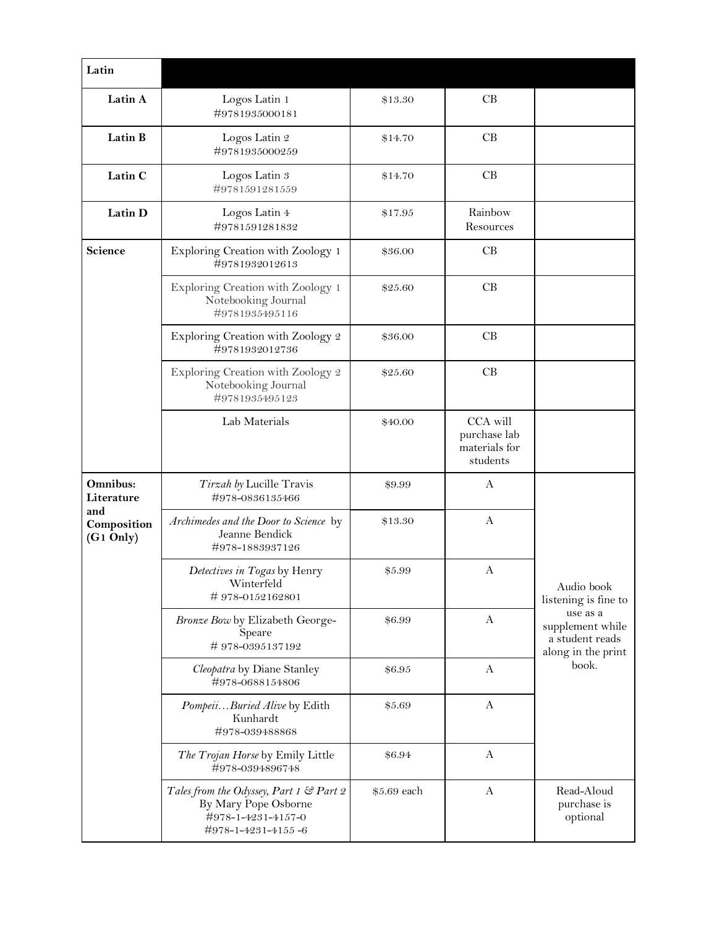| Latin                                |                                                                                                             |             |                                                       |                                                                                                             |
|--------------------------------------|-------------------------------------------------------------------------------------------------------------|-------------|-------------------------------------------------------|-------------------------------------------------------------------------------------------------------------|
| Latin A                              | Logos Latin 1<br>#9781935000181                                                                             | \$13.30     | CB                                                    |                                                                                                             |
| Latin B                              | Logos Latin 2<br>#9781935000259                                                                             | \$14.70     | CB                                                    |                                                                                                             |
| Latin C                              | Logos Latin 3<br>#9781591281559                                                                             | \$14.70     | CB                                                    |                                                                                                             |
| Latin D                              | Logos Latin 4<br>#9781591281832                                                                             | \$17.95     | Rainbow<br>Resources                                  |                                                                                                             |
| Science                              | Exploring Creation with Zoology 1<br>#9781932012613                                                         | \$36.00     | CB                                                    |                                                                                                             |
|                                      | Exploring Creation with Zoology 1<br>Notebooking Journal<br>#9781935495116                                  | \$25.60     | CB                                                    |                                                                                                             |
|                                      | Exploring Creation with Zoology 2<br>#9781932012736                                                         | \$36.00     | CB                                                    |                                                                                                             |
|                                      | Exploring Creation with Zoology 2<br>Notebooking Journal<br>#9781935495123                                  | \$25.60     | CB                                                    |                                                                                                             |
|                                      | Lab Materials                                                                                               | \$40.00     | CCA will<br>purchase lab<br>materials for<br>students |                                                                                                             |
| Omnibus:<br>Literature               | Tirzah by Lucille Travis<br>#978-0836135466                                                                 | \$9.99      | A                                                     | Audio book<br>listening is fine to<br>use as a<br>supplement while<br>a student reads<br>along in the print |
| and<br>Composition<br>$(G1$ Only $)$ | Archimedes and the Door to Science by<br>Jeanne Bendick<br>#978-1883937126                                  | \$13.30     | A                                                     |                                                                                                             |
|                                      | Detectives in Togas by Henry<br>Winterfeld<br>#978-0152162801                                               | \$5.99      | A                                                     |                                                                                                             |
|                                      | Bronze Bow by Elizabeth George-<br>Speare<br>#978-0395137192                                                | \$6.99      | A                                                     |                                                                                                             |
|                                      | Cleopatra by Diane Stanley<br>#978-0688154806                                                               | \$6.95      | A                                                     | book.                                                                                                       |
|                                      | PompeiiBuried Alive by Edith<br>Kunhardt<br>#978-039488868                                                  | \$5.69      | A                                                     |                                                                                                             |
|                                      | The Trojan Horse by Emily Little<br>#978-0394896748                                                         | \$6.94      | A                                                     |                                                                                                             |
|                                      | Tales from the Odyssey, Part 1 & Part 2<br>By Mary Pope Osborne<br>#978-1-4231-4157-0<br>#978-1-4231-4155-6 | \$5.69 each | A                                                     | Read-Aloud<br>purchase is<br>optional                                                                       |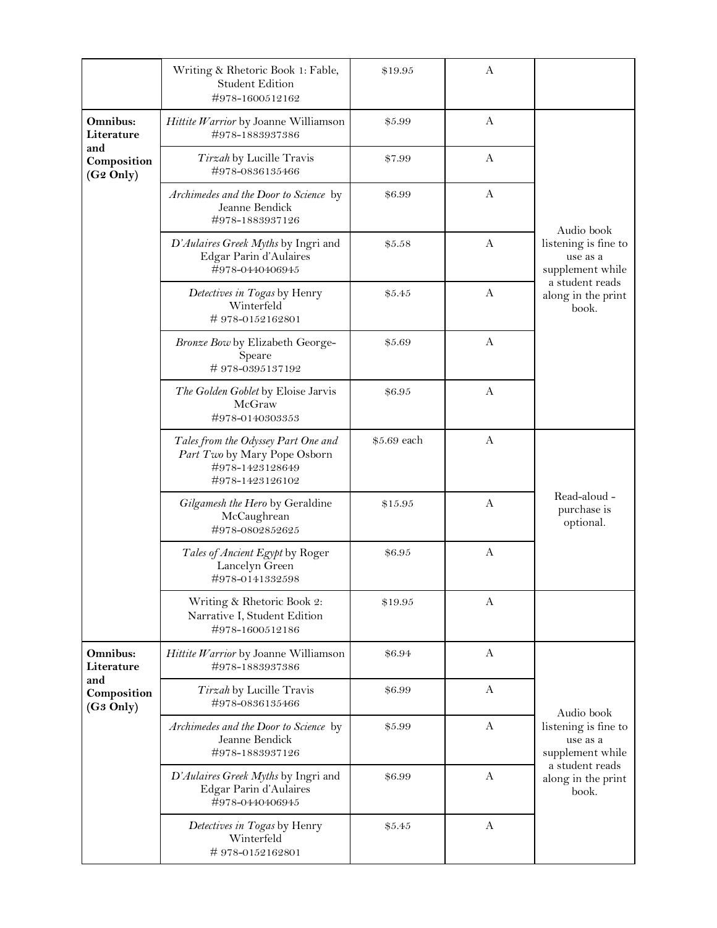|                                             | Writing & Rhetoric Book 1: Fable,<br><b>Student Edition</b><br>#978-1600512162                            | \$19.95     | A |                                                      |
|---------------------------------------------|-----------------------------------------------------------------------------------------------------------|-------------|---|------------------------------------------------------|
| Omnibus:<br>Literature                      | Hittite Warrior by Joanne Williamson<br>#978-1883937386                                                   | \$5.99      | A |                                                      |
| and<br>Composition<br>(G <sub>2</sub> Only) | Tirzah by Lucille Travis<br>#978-0836135466                                                               | \$7.99      | A |                                                      |
|                                             | Archimedes and the Door to Science by<br>Jeanne Bendick<br>#978-1883937126                                | \$6.99      | A | Audio book                                           |
|                                             | D'Aulaires Greek Myths by Ingri and<br>Edgar Parin d'Aulaires<br>#978-0440406945                          | \$5.58      | A | listening is fine to<br>use as a<br>supplement while |
|                                             | Detectives in Togas by Henry<br>Winterfeld<br>#978-0152162801                                             | \$5.45      | A | a student reads<br>along in the print<br>book.       |
|                                             | Bronze Bow by Elizabeth George-<br>Speare<br>#978-0395137192                                              | \$5.69      | A |                                                      |
|                                             | The Golden Goblet by Eloise Jarvis<br>McGraw<br>#978-0140303353                                           | \$6.95      | A |                                                      |
|                                             | Tales from the Odyssey Part One and<br>Part Two by Mary Pope Osborn<br>#978-1423128649<br>#978-1423126102 | \$5.69 each | A |                                                      |
|                                             | Gilgamesh the Hero by Geraldine<br>McCaughrean<br>#978-0802852625                                         | \$15.95     | A | Read-aloud -<br>purchase is<br>optional.             |
|                                             | Tales of Ancient Egypt by Roger<br>Lancelyn Green<br>#978-0141332598                                      | \$6.95      | A |                                                      |
|                                             | Writing & Rhetoric Book 2:<br>Narrative I, Student Edition<br>#978-1600512186                             | \$19.95     | A |                                                      |
| Omnibus:<br>Literature                      | Hittite Warrior by Joanne Williamson<br>#978-1883937386                                                   | \$6.94      | A |                                                      |
| and<br>Composition<br>(G <sub>3</sub> Only) | Tirzah by Lucille Travis<br>#978-0836135466                                                               | \$6.99      | A | Audio book                                           |
|                                             | Archimedes and the Door to Science by<br>Jeanne Bendick<br>#978-1883937126                                | \$5.99      | A | listening is fine to<br>use as a<br>supplement while |
|                                             | D'Aulaires Greek Myths by Ingri and<br>Edgar Parin d'Aulaires<br>#978-0440406945                          | \$6.99      | A | a student reads<br>along in the print<br>book.       |
|                                             | Detectives in Togas by Henry<br>Winterfeld<br>#978-0152162801                                             | \$5.45      | A |                                                      |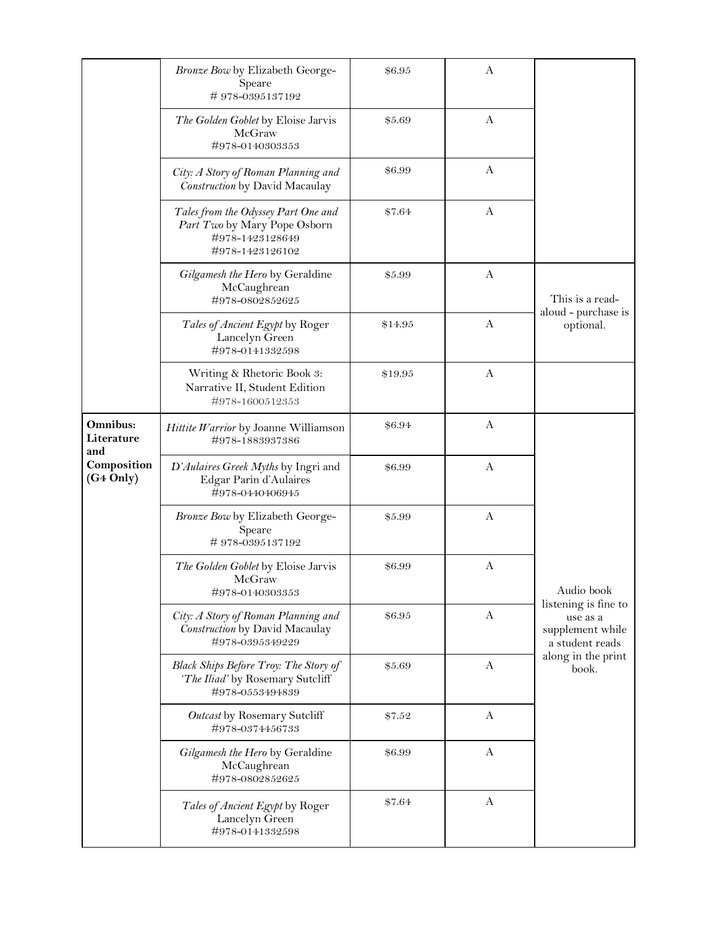|                               | Bronze Bow by Elizabeth George-<br>Speare<br>#978-0395137192                                              | \$6.95  | A            |                                                 |
|-------------------------------|-----------------------------------------------------------------------------------------------------------|---------|--------------|-------------------------------------------------|
|                               | The Golden Goblet by Eloise Jarvis<br>McGraw<br>#978-0140303353                                           | \$5.69  | A            |                                                 |
|                               | City: A Story of Roman Planning and<br>Construction by David Macaulay                                     | \$6.99  | A            |                                                 |
|                               | Tales from the Odyssey Part One and<br>Part Two by Mary Pope Osborn<br>#978-1423128649<br>#978-1423126102 | \$7.64  | A            |                                                 |
|                               | Gilgamesh the Hero by Geraldine<br>McCaughrean<br>#978-0802852625                                         | \$5.99  | A            | This is a read-                                 |
|                               | Tales of Ancient Egypt by Roger<br>Lancelyn Green<br>#978-0141332598                                      | \$14.95 | A            | aloud - purchase is<br>optional.                |
|                               | Writing & Rhetoric Book 3:<br>Narrative II, Student Edition<br>#978-1600512353                            | \$19.95 | A            |                                                 |
| Omnibus:<br>Literature<br>and | Hittite Warrior by Joanne Williamson<br>#978-1883937386                                                   | \$6.94  | A            |                                                 |
| Composition<br>$(G4$ Only $)$ | D'Aulaires Greek Myths by Ingri and<br>Edgar Parin d'Aulaires<br>#978-0440406945                          | \$6.99  | A            |                                                 |
|                               | Bronze Bow by Elizabeth George-<br>Speare<br>#978-0395137192                                              | \$5.99  | A            |                                                 |
|                               | The Golden Goblet by Eloise Jarvis<br>McGraw<br>#978-0140303353                                           | \$6.99  | A            | Audio book<br>listening is fine to              |
|                               | City: A Story of Roman Planning and<br>Construction by David Macaulay<br>#978-0395349229                  | \$6.95  | A            | use as a<br>supplement while<br>a student reads |
|                               | <b>Black Ships Before Troy: The Story of</b><br>'The Iliad' by Rosemary Sutcliff<br>#978-0553494839       | \$5.69  | $\mathbf{A}$ | along in the print<br>book.                     |
|                               | Outcast by Rosemary Sutcliff<br>#978-0374456733                                                           | \$7.52  | A            |                                                 |
|                               | Gilgamesh the Hero by Geraldine<br>McCaughrean<br>#978-0802852625                                         | \$6.99  | A            |                                                 |
|                               | Tales of Ancient Egypt by Roger<br>Lancelyn Green<br>#978-0141332598                                      | \$7.64  | A            |                                                 |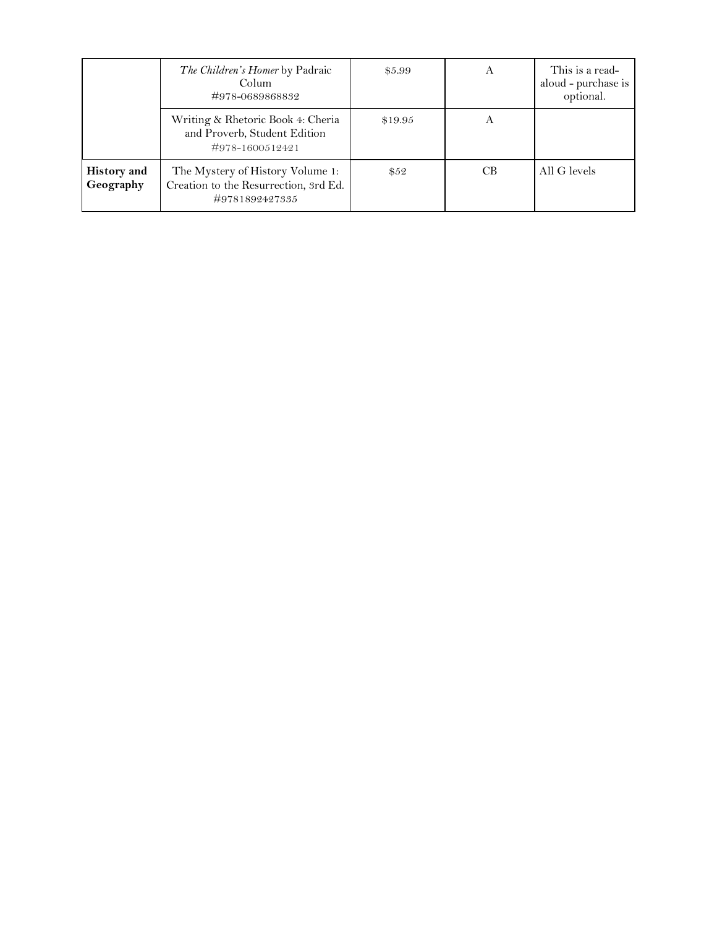|                                 | The Children's Homer by Padraic<br>Colum<br>#978-0689868832                                 | \$5.99  | А   | This is a read-<br>aloud - purchase is<br>optional. |
|---------------------------------|---------------------------------------------------------------------------------------------|---------|-----|-----------------------------------------------------|
|                                 | Writing & Rhetoric Book 4: Cheria<br>and Proverb, Student Edition<br>#978-1600512421        | \$19.95 | Α   |                                                     |
| <b>History</b> and<br>Geography | The Mystery of History Volume 1:<br>Creation to the Resurrection, 3rd Ed.<br>#9781892427335 | \$52    | CB. | All G levels                                        |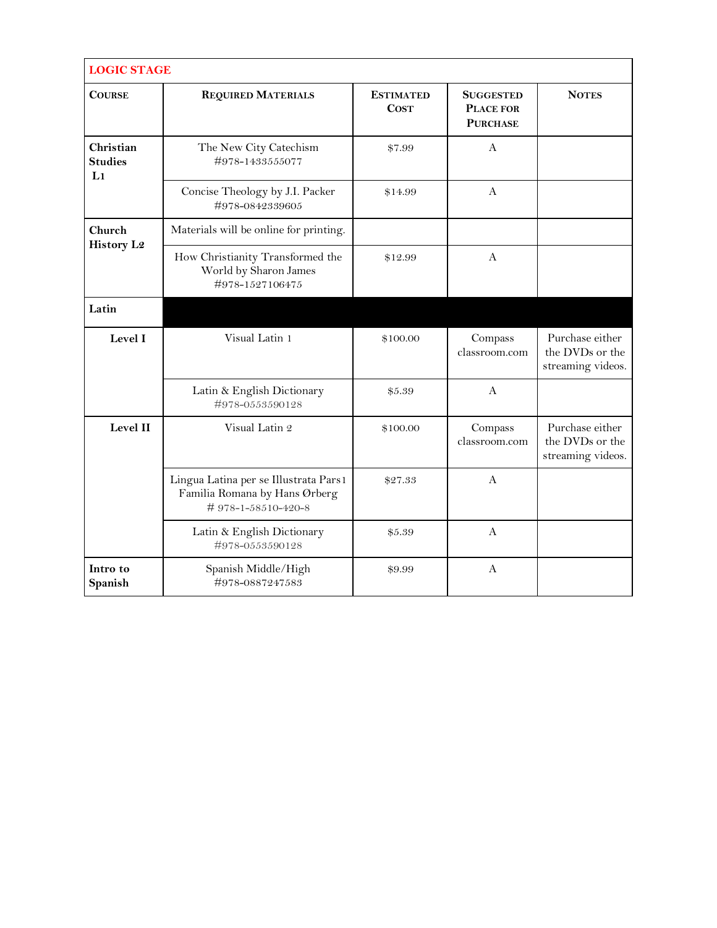| <b>LOGIC STAGE</b>                |                                                                                              |                                 |                                                         |                                                         |
|-----------------------------------|----------------------------------------------------------------------------------------------|---------------------------------|---------------------------------------------------------|---------------------------------------------------------|
| <b>COURSE</b>                     | <b>REQUIRED MATERIALS</b>                                                                    | <b>ESTIMATED</b><br><b>COST</b> | <b>SUGGESTED</b><br><b>PLACE FOR</b><br><b>PURCHASE</b> | <b>NOTES</b>                                            |
| Christian<br><b>Studies</b><br>L1 | The New City Catechism<br>#978-1433555077                                                    | \$7.99                          | A                                                       |                                                         |
|                                   | Concise Theology by J.I. Packer<br>#978-0842339605                                           | \$14.99                         | A                                                       |                                                         |
| Church                            | Materials will be online for printing.                                                       |                                 |                                                         |                                                         |
| <b>History L2</b>                 | How Christianity Transformed the<br>World by Sharon James<br>#978-1527106475                 | \$12.99                         | A                                                       |                                                         |
| Latin                             |                                                                                              |                                 |                                                         |                                                         |
| Level I                           | Visual Latin 1                                                                               | \$100.00                        | Compass<br>classroom.com                                | Purchase either<br>the DVDs or the<br>streaming videos. |
|                                   | Latin & English Dictionary<br>#978-0553590128                                                | \$5.39                          | A                                                       |                                                         |
| Level II                          | Visual Latin 2                                                                               | \$100.00                        | Compass<br>classroom.com                                | Purchase either<br>the DVDs or the<br>streaming videos. |
|                                   | Lingua Latina per se Illustrata Pars1<br>Familia Romana by Hans Ørberg<br>#978-1-58510-420-8 | \$27.33                         | $\mathbf{A}$                                            |                                                         |
|                                   | Latin & English Dictionary<br>#978-0553590128                                                | \$5.39                          | $\mathbf{A}$                                            |                                                         |
| Intro to<br>Spanish               | Spanish Middle/High<br>#978-0887247583                                                       | \$9.99                          | $\mathbf{A}$                                            |                                                         |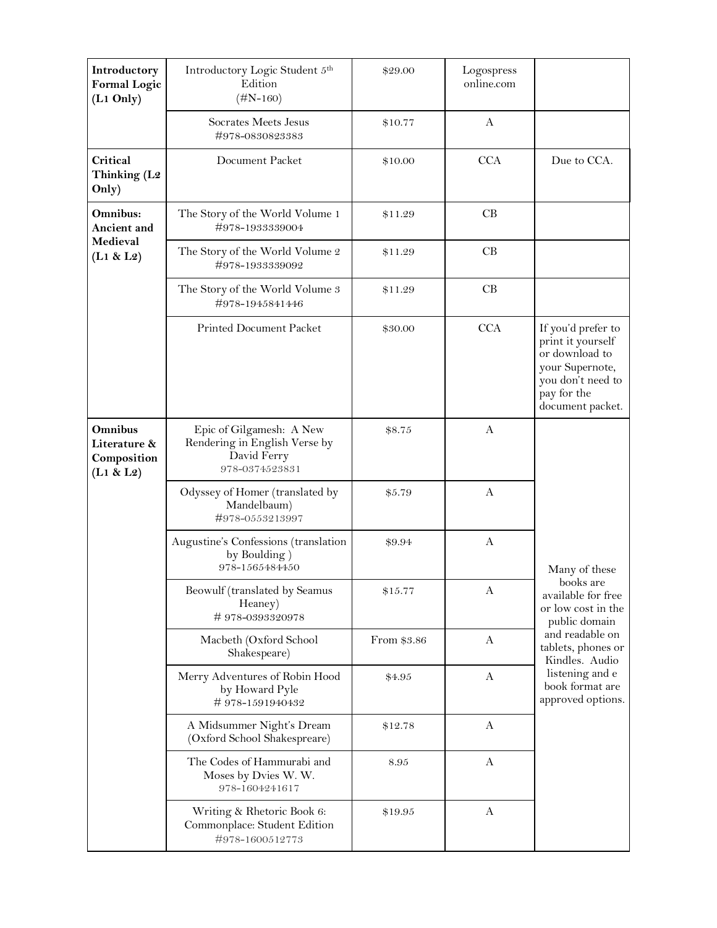| Introductory<br><b>Formal Logic</b><br>$(L1$ Only $)$ | Introductory Logic Student 5th<br>Edition<br>$(\#N-160)$                                   | \$29.00     | Logospress<br>online.com |                                                                                                                                      |
|-------------------------------------------------------|--------------------------------------------------------------------------------------------|-------------|--------------------------|--------------------------------------------------------------------------------------------------------------------------------------|
|                                                       | Socrates Meets Jesus<br>#978-0830823383                                                    | \$10.77     | A                        |                                                                                                                                      |
| Critical<br>Thinking (L2<br>Only)                     | Document Packet                                                                            | \$10.00     | <b>CCA</b>               | Due to CCA.                                                                                                                          |
| Omnibus:<br>Ancient and                               | The Story of the World Volume 1<br>#978-1933339004                                         | \$11.29     | CB                       |                                                                                                                                      |
| Medieval<br>(L1 & L2)                                 | The Story of the World Volume 2<br>#978-1933339092                                         | \$11.29     | CB                       |                                                                                                                                      |
|                                                       | The Story of the World Volume 3<br>#978-1945841446                                         | \$11.29     | CB                       |                                                                                                                                      |
|                                                       | Printed Document Packet                                                                    | \$30.00     | <b>CCA</b>               | If you'd prefer to<br>print it yourself<br>or download to<br>your Supernote,<br>you don't need to<br>pay for the<br>document packet. |
| Omnibus<br>Literature &<br>Composition<br>(L1 & L2)   | Epic of Gilgamesh: A New<br>Rendering in English Verse by<br>David Ferry<br>978-0374523831 | \$8.75      | A                        |                                                                                                                                      |
|                                                       | Odyssey of Homer (translated by<br>Mandelbaum)<br>#978-0553213997                          | \$5.79      | A                        |                                                                                                                                      |
|                                                       | Augustine's Confessions (translation<br>by Boulding)<br>978-1565484450                     | \$9.94      | A                        | Many of these                                                                                                                        |
|                                                       | Beowulf (translated by Seamus<br>Heaney)<br>#978-0393320978                                | \$15.77     | A                        | books are<br>available for free<br>or low cost in the<br>public domain                                                               |
|                                                       | Macbeth (Oxford School<br>Shakespeare)                                                     | From \$3.86 | A                        | and readable on<br>tablets, phones or<br>Kindles. Audio                                                                              |
|                                                       | Merry Adventures of Robin Hood<br>by Howard Pyle<br>#978-1591940432                        | \$4.95      | A                        | listening and e<br>book format are<br>approved options.                                                                              |
|                                                       | A Midsummer Night's Dream<br>(Oxford School Shakespreare)                                  | \$12.78     | A                        |                                                                                                                                      |
|                                                       | The Codes of Hammurabi and<br>Moses by Dvies W. W.<br>978-1604241617                       | 8.95        | A                        |                                                                                                                                      |
|                                                       | Writing & Rhetoric Book 6:<br>Commonplace: Student Edition<br>#978-1600512773              | \$19.95     | A                        |                                                                                                                                      |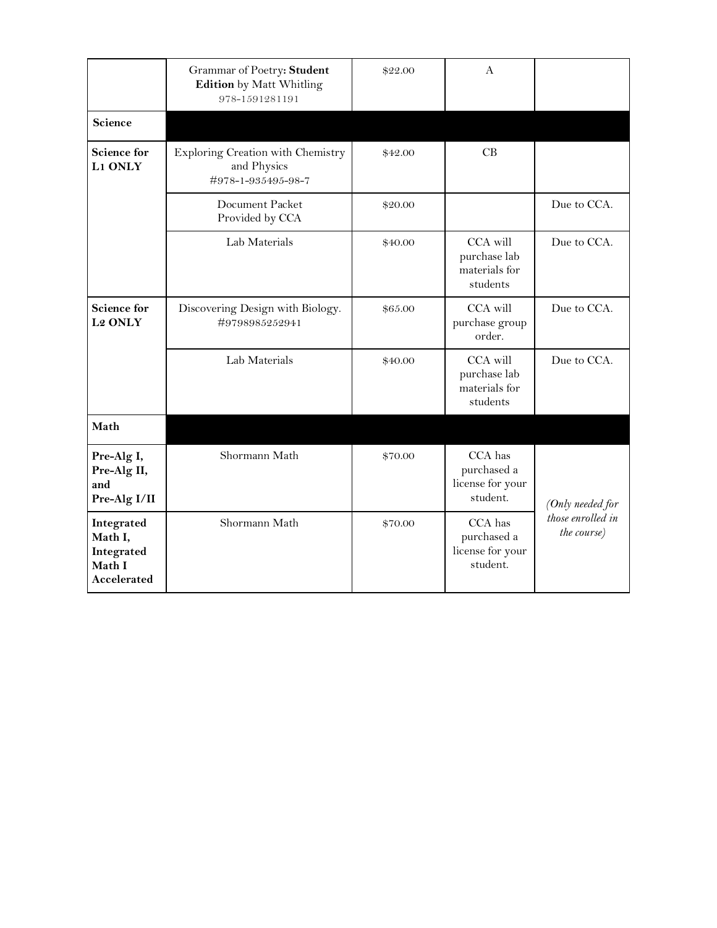|                                                              | Grammar of Poetry: Student<br><b>Edition</b> by Matt Whitling<br>978-1591281191 | \$22.00 | A                                                      |                                          |
|--------------------------------------------------------------|---------------------------------------------------------------------------------|---------|--------------------------------------------------------|------------------------------------------|
| Science                                                      |                                                                                 |         |                                                        |                                          |
| <b>Science for</b><br>L1 ONLY                                | Exploring Creation with Chemistry<br>and Physics<br>#978-1-935495-98-7          | \$42.00 | CB.                                                    |                                          |
|                                                              | Document Packet<br>Provided by CCA                                              | \$20.00 |                                                        | Due to CCA.                              |
|                                                              | Lab Materials                                                                   | \$40.00 | CCA will<br>purchase lab<br>materials for<br>students  | Due to CCA.                              |
| <b>Science for</b><br><b>L2 ONLY</b>                         | Discovering Design with Biology.<br>#9798985252941                              | \$65.00 | CCA will<br>purchase group<br>order.                   | Due to CCA.                              |
|                                                              | Lab Materials                                                                   | \$40.00 | CCA will<br>purchase lab<br>materials for<br>students  | Due to CCA.                              |
| Math                                                         |                                                                                 |         |                                                        |                                          |
| Pre-Alg I,<br>Pre-Alg II,<br>and<br>Pre-Alg I/II             | Shormann Math                                                                   | \$70.00 | CCA has<br>purchased a<br>license for your<br>student. | (Only needed for                         |
| Integrated<br>Math I,<br>Integrated<br>Math I<br>Accelerated | Shormann Math                                                                   | \$70.00 | CCA has<br>purchased a<br>license for your<br>student. | those enrolled in<br><i>the course</i> ) |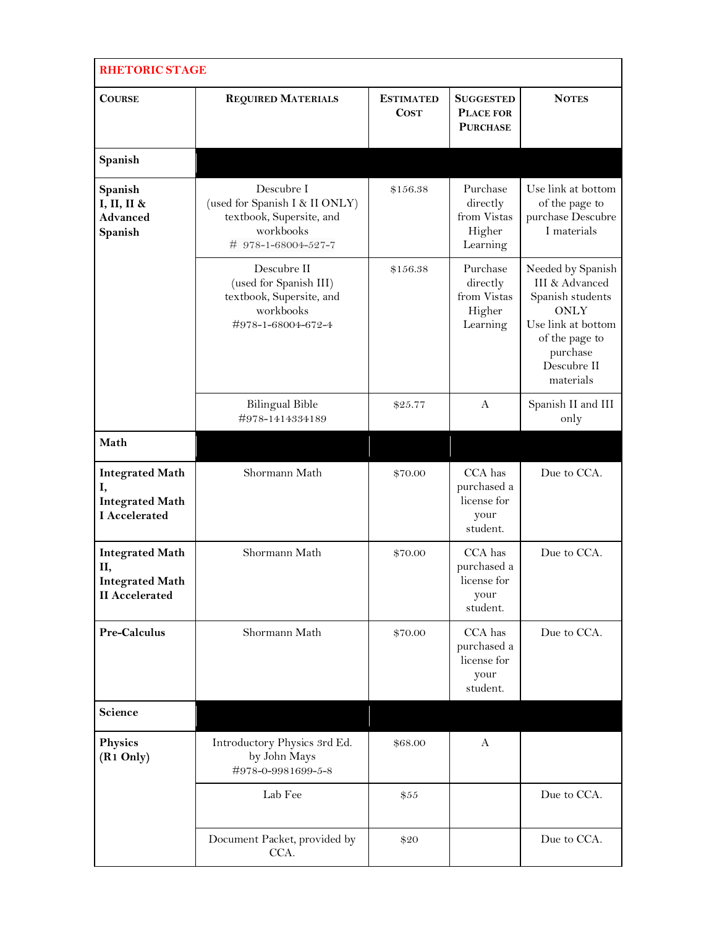| <b>RHETORIC STAGE</b>                                                           |                                                                                                              |                                 |                                                           |                                                                                                                                                        |  |
|---------------------------------------------------------------------------------|--------------------------------------------------------------------------------------------------------------|---------------------------------|-----------------------------------------------------------|--------------------------------------------------------------------------------------------------------------------------------------------------------|--|
| <b>COURSE</b>                                                                   | <b>REQUIRED MATERIALS</b>                                                                                    | <b>ESTIMATED</b><br><b>COST</b> | <b>SUGGESTED</b><br><b>PLACE FOR</b><br><b>PURCHASE</b>   | <b>NOTES</b>                                                                                                                                           |  |
| Spanish                                                                         |                                                                                                              |                                 |                                                           |                                                                                                                                                        |  |
| Spanish<br>I, II, II &<br><b>Advanced</b><br>Spanish                            | Descubre I<br>(used for Spanish I & II ONLY)<br>textbook, Supersite, and<br>workbooks<br># 978-1-68004-527-7 | \$156.38                        | Purchase<br>directly<br>from Vistas<br>Higher<br>Learning | Use link at bottom<br>of the page to<br>purchase Descubre<br>I materials                                                                               |  |
|                                                                                 | Descubre II<br>(used for Spanish III)<br>textbook, Supersite, and<br>workbooks<br>#978-1-68004-672-4         | \$156.38                        | Purchase<br>directly<br>from Vistas<br>Higher<br>Learning | Needed by Spanish<br>III & Advanced<br>Spanish students<br><b>ONLY</b><br>Use link at bottom<br>of the page to<br>purchase<br>Descubre II<br>materials |  |
|                                                                                 | <b>Bilingual Bible</b><br>#978-1414334189                                                                    | \$25.77                         | $\mathsf{A}$                                              | Spanish II and III<br>only                                                                                                                             |  |
| Math                                                                            |                                                                                                              |                                 |                                                           |                                                                                                                                                        |  |
| <b>Integrated Math</b><br>I,<br><b>Integrated Math</b><br><b>I</b> Accelerated  | Shormann Math                                                                                                | \$70.00                         | CCA has<br>purchased a<br>license for<br>your<br>student. | Due to CCA.                                                                                                                                            |  |
| <b>Integrated Math</b><br>П,<br><b>Integrated Math</b><br><b>II</b> Accelerated | Shormann Math                                                                                                | \$70.00                         | CCA has<br>purchased a<br>license for<br>your<br>student. | Due to CCA.                                                                                                                                            |  |
| Pre-Calculus                                                                    | Shormann Math                                                                                                | \$70.00                         | CCA has<br>purchased a<br>license for<br>your<br>student. | Due to CCA.                                                                                                                                            |  |
| Science                                                                         |                                                                                                              |                                 |                                                           |                                                                                                                                                        |  |
| <b>Physics</b><br>(R <sub>1</sub> Only)                                         | Introductory Physics 3rd Ed.<br>by John Mays<br>#978-0-9981699-5-8                                           | \$68.00                         | A                                                         |                                                                                                                                                        |  |
|                                                                                 | Lab Fee                                                                                                      | \$55                            |                                                           | Due to CCA.                                                                                                                                            |  |
|                                                                                 | Document Packet, provided by<br>CCA.                                                                         | \$20                            |                                                           | Due to CCA.                                                                                                                                            |  |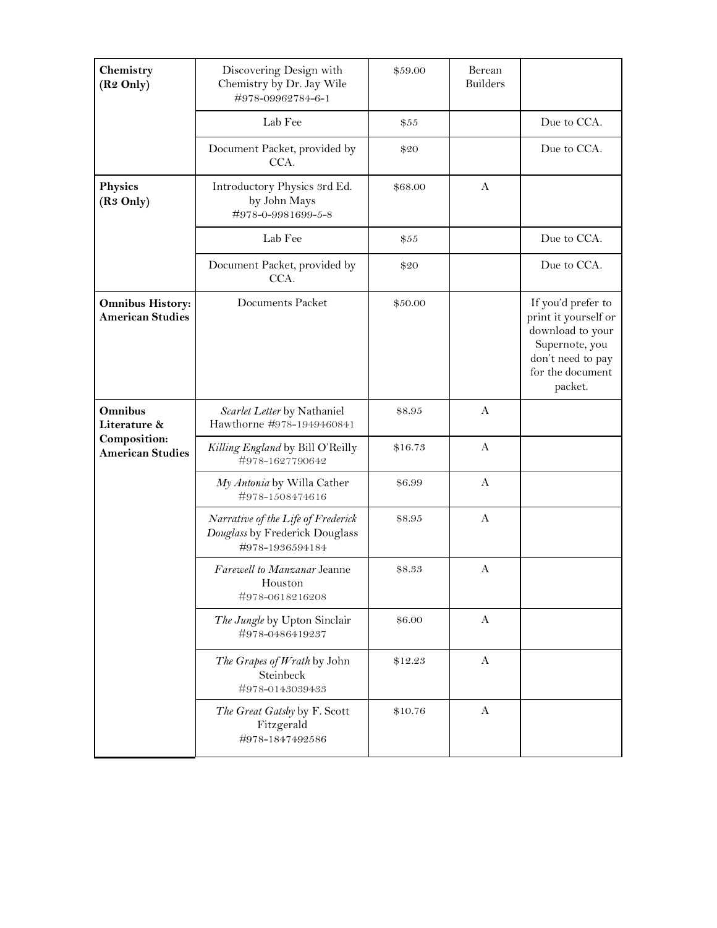| Chemistry<br>(R <sub>2</sub> Only)                 | Discovering Design with<br>Chemistry by Dr. Jay Wile<br>#978-09962784-6-1               | \$59.00 | Berean<br><b>Builders</b> |                                                                                                                                      |
|----------------------------------------------------|-----------------------------------------------------------------------------------------|---------|---------------------------|--------------------------------------------------------------------------------------------------------------------------------------|
|                                                    | Lab Fee                                                                                 | \$55    |                           | Due to CCA.                                                                                                                          |
|                                                    | Document Packet, provided by<br>CCA.                                                    | \$20    |                           | Due to CCA.                                                                                                                          |
| <b>Physics</b><br>(R <sub>3</sub> Only)            | Introductory Physics 3rd Ed.<br>by John Mays<br>#978-0-9981699-5-8                      | \$68.00 | A                         |                                                                                                                                      |
|                                                    | Lab Fee                                                                                 | \$55    |                           | Due to CCA.                                                                                                                          |
|                                                    | Document Packet, provided by<br>CCA.                                                    | \$20    |                           | Due to CCA.                                                                                                                          |
| <b>Omnibus History:</b><br><b>American Studies</b> | Documents Packet                                                                        | \$50.00 |                           | If you'd prefer to<br>print it yourself or<br>download to your<br>Supernote, you<br>don't need to pay<br>for the document<br>packet. |
| Omnibus<br>Literature &                            | Scarlet Letter by Nathaniel<br>Hawthorne #978-1949460841                                | \$8.95  | A                         |                                                                                                                                      |
| Composition:<br><b>American Studies</b>            | Killing England by Bill O'Reilly<br>#978-1627790642                                     | \$16.73 | A                         |                                                                                                                                      |
|                                                    | My Antonia by Willa Cather<br>#978-1508474616                                           | \$6.99  | A                         |                                                                                                                                      |
|                                                    | Narrative of the Life of Frederick<br>Douglass by Frederick Douglass<br>#978-1936594184 | \$8.95  | A                         |                                                                                                                                      |
|                                                    | Farewell to Manzanar Jeanne<br>Houston<br>#978-0618216208                               | \$8.33  | A                         |                                                                                                                                      |
|                                                    | The Jungle by Upton Sinclair<br>#978-0486419237                                         | \$6.00  | $\mathbf{A}$              |                                                                                                                                      |
|                                                    | The Grapes of Wrath by John<br>Steinbeck<br>#978-0143039433                             | \$12.23 | $\mathbf{A}$              |                                                                                                                                      |
|                                                    | The Great Gatsby by F. Scott<br>Fitzgerald<br>#978-1847492586                           | \$10.76 | $\mathbf{A}$              |                                                                                                                                      |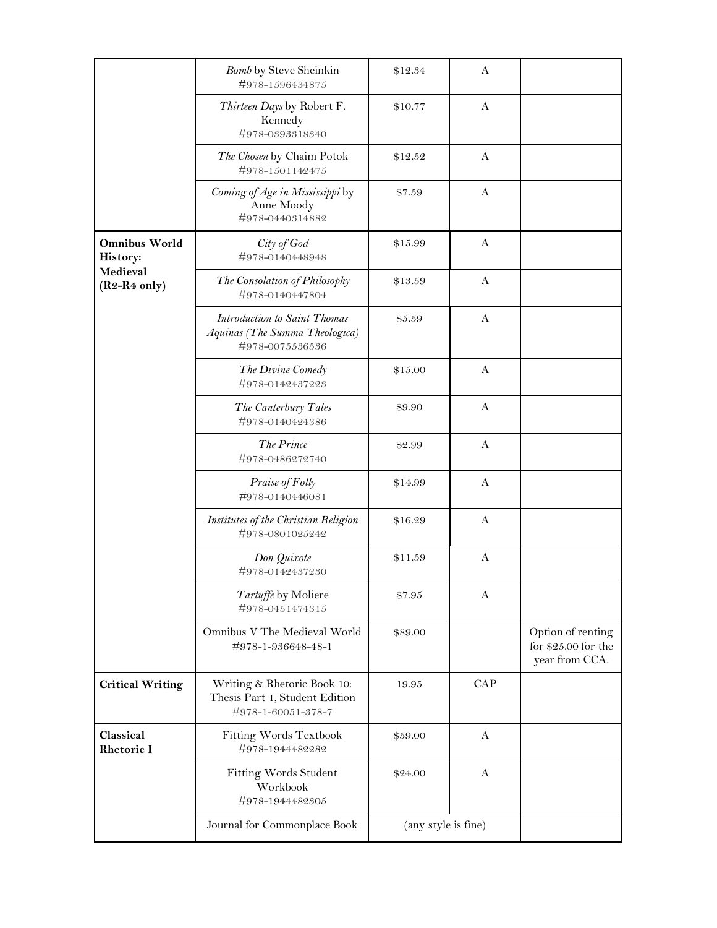|                                                                | Bomb by Steve Sheinkin<br>#978-1596434875                                           | \$12.34             | A            |                                                             |
|----------------------------------------------------------------|-------------------------------------------------------------------------------------|---------------------|--------------|-------------------------------------------------------------|
|                                                                | Thirteen Days by Robert F.<br>Kennedy<br>#978-0393318340                            | \$10.77             | A            |                                                             |
|                                                                | The Chosen by Chaim Potok<br>#978-1501142475                                        | \$12.52             | $\mathbf{A}$ |                                                             |
|                                                                | Coming of Age in Mississippi by<br>Anne Moody<br>#978-0440314882                    | \$7.59              | A            |                                                             |
| <b>Omnibus World</b><br>History:<br>Medieval<br>$(R2-R4~only)$ | City of God<br>#978-0140448948                                                      | \$15.99             | A            |                                                             |
|                                                                | The Consolation of Philosophy<br>#978-0140447804                                    | \$13.59             | A            |                                                             |
|                                                                | Introduction to Saint Thomas<br>Aquinas (The Summa Theologica)<br>#978-0075536536   | \$5.59              | A            |                                                             |
|                                                                | The Divine Comedy<br>#978-0142437223                                                | \$15.00             | A            |                                                             |
|                                                                | The Canterbury Tales<br>#978-0140424386                                             | \$9.90              | A            |                                                             |
|                                                                | The Prince<br>#978-0486272740                                                       | \$2.99              | $\mathbf{A}$ |                                                             |
|                                                                | Praise of Folly<br>#978-0140446081                                                  | \$14.99             | A            |                                                             |
|                                                                | Institutes of the Christian Religion<br>#978-0801025242                             | \$16.29             | A            |                                                             |
|                                                                | Don Quixote<br>#978-0142437230                                                      | \$11.59             | A            |                                                             |
|                                                                | Tartuffe by Moliere<br>#978-0451474315                                              | \$7.95              | A            |                                                             |
|                                                                | Omnibus V The Medieval World<br>#978-1-936648-48-1                                  | \$89.00             |              | Option of renting<br>for $$25.00$ for the<br>year from CCA. |
| <b>Critical Writing</b>                                        | Writing & Rhetoric Book 10:<br>Thesis Part 1, Student Edition<br>#978-1-60051-378-7 | 19.95               | <b>CAP</b>   |                                                             |
| Classical<br><b>Rhetoric I</b>                                 | Fitting Words Textbook<br>#978-1944482282                                           | \$59.00             | A            |                                                             |
|                                                                | Fitting Words Student<br>Workbook<br>#978-1944482305                                | \$24.00             | $\mathbf{A}$ |                                                             |
|                                                                | Journal for Commonplace Book                                                        | (any style is fine) |              |                                                             |